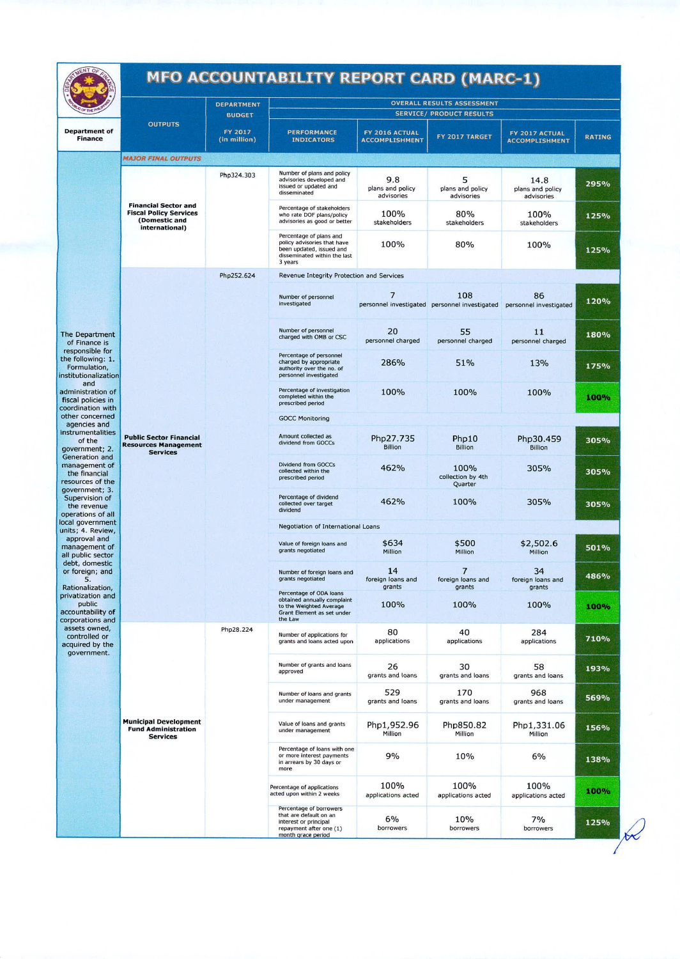## **MFO ACCOUNTABILITY REPORT CARD (MARC-I)**

|                                                                                        |                                                                                                            | <b>DEPARTMENT</b>                                                                                                                                                                                                                                                                                                                                          |                                                                                                                               |                                         | <b>OVERALL RESULTS ASSESSMENT</b><br><b>SERVICE/ PRODUCT RESULTS</b>        |                                         |                                              |  |  |
|----------------------------------------------------------------------------------------|------------------------------------------------------------------------------------------------------------|------------------------------------------------------------------------------------------------------------------------------------------------------------------------------------------------------------------------------------------------------------------------------------------------------------------------------------------------------------|-------------------------------------------------------------------------------------------------------------------------------|-----------------------------------------|-----------------------------------------------------------------------------|-----------------------------------------|----------------------------------------------|--|--|
| <b>Department of</b><br><b>Finance</b>                                                 | <b>OUTPUTS</b>                                                                                             | <b>BUDGET</b><br>FY 2017<br>(in million)                                                                                                                                                                                                                                                                                                                   | <b>PERFORMANCE</b><br><b>INDICATORS</b>                                                                                       | FY 2016 ACTUAL<br><b>ACCOMPLISHMENT</b> | FY 2017 TARGET                                                              | FY 2017 ACTUAL<br><b>ACCOMPLISHMENT</b> | <b>RATING</b>                                |  |  |
|                                                                                        | <b>MAJOR FINAL OUTPUTS</b>                                                                                 |                                                                                                                                                                                                                                                                                                                                                            |                                                                                                                               |                                         |                                                                             |                                         |                                              |  |  |
|                                                                                        |                                                                                                            | Php324.303                                                                                                                                                                                                                                                                                                                                                 | Number of plans and policy<br>advisories developed and<br>issued or updated and<br>disseminated                               | 9.8<br>plans and policy<br>advisories   | 5<br>plans and policy<br>advisories                                         | 14.8<br>plans and policy<br>advisories  | 295%                                         |  |  |
|                                                                                        | <b>Financial Sector and</b><br><b>Fiscal Policy Services</b><br>(Domestic and<br>international)            |                                                                                                                                                                                                                                                                                                                                                            | Percentage of stakeholders<br>who rate DOF plans/policy<br>advisories as good or better                                       | 100%<br>stakeholders                    | 80%<br>stakeholders                                                         | 100%<br>stakeholders                    | 125%                                         |  |  |
|                                                                                        |                                                                                                            |                                                                                                                                                                                                                                                                                                                                                            | Percentage of plans and<br>policy advisories that have<br>been updated, issued and<br>disseminated within the last<br>3 years | 100%                                    | 80%                                                                         | 100%                                    | 125%                                         |  |  |
|                                                                                        |                                                                                                            | Php252.624                                                                                                                                                                                                                                                                                                                                                 | Revenue Integrity Protection and Services                                                                                     |                                         |                                                                             |                                         |                                              |  |  |
|                                                                                        |                                                                                                            |                                                                                                                                                                                                                                                                                                                                                            | Number of personnel<br>investigated                                                                                           | 7                                       | 108<br>personnel investigated personnel investigated personnel investigated | 86                                      | 120%                                         |  |  |
| The Department<br>of Finance is                                                        |                                                                                                            |                                                                                                                                                                                                                                                                                                                                                            | Number of personnel<br>charged with OMB or CSC                                                                                | 20<br>personnel charged                 | 55<br>personnel charged                                                     | 11<br>personnel charged                 | 180%                                         |  |  |
| responsible for<br>the following: 1.<br>Formulation,<br>institutionalization           |                                                                                                            |                                                                                                                                                                                                                                                                                                                                                            | Percentage of personnel<br>charged by appropriate<br>authority over the no. of<br>personnel investigated                      | 286%                                    | 51%                                                                         | 13%                                     | 175%                                         |  |  |
| and<br>administration of<br>fiscal policies in<br>coordination with                    |                                                                                                            |                                                                                                                                                                                                                                                                                                                                                            | Percentage of investigation<br>completed within the<br>prescribed period                                                      | 100%                                    | 100%                                                                        | 100%                                    | 100%                                         |  |  |
| other concerned                                                                        | agencies and<br><b>Public Sector Financial</b><br>of the<br><b>Resources Management</b><br><b>Services</b> |                                                                                                                                                                                                                                                                                                                                                            | <b>GOCC Monitoring</b>                                                                                                        |                                         |                                                                             |                                         |                                              |  |  |
| instrumentalities<br>government; 2.                                                    |                                                                                                            | Amount collected as<br>dividend from GOCCs                                                                                                                                                                                                                                                                                                                 | Php27.735<br><b>Billion</b>                                                                                                   | Php10<br><b>Billion</b>                 | Php30.459<br><b>Billion</b>                                                 | 305%                                    |                                              |  |  |
| Generation and<br>management of<br>the financial<br>resources of the<br>government; 3. |                                                                                                            |                                                                                                                                                                                                                                                                                                                                                            | <b>Dividend from GOCCs</b><br>collected within the<br>prescribed period                                                       | 462%                                    | 100%<br>305%<br>collection by 4th<br>Quarter                                | 305%                                    |                                              |  |  |
| Supervision of<br>the revenue<br>operations of all                                     |                                                                                                            |                                                                                                                                                                                                                                                                                                                                                            | Percentage of dividend<br>collected over target<br>dividend                                                                   | 462%                                    | 100%                                                                        | 305%                                    | 305%                                         |  |  |
| local government<br>units; 4. Review,                                                  |                                                                                                            |                                                                                                                                                                                                                                                                                                                                                            | Negotiation of International Loans                                                                                            |                                         |                                                                             |                                         |                                              |  |  |
| approval and<br>management of<br>all public sector                                     |                                                                                                            | \$634<br>\$500<br>Value of foreign loans and<br>grants negotiated<br>Million<br>Million<br>14<br>$\overline{7}$<br>Number of foreign loans and<br>grants negotiated<br>foreign loans and<br>grants<br>grants<br>Percentage of ODA loans<br>obtained annually complaint<br>100%<br>100%<br>to the Weighted Average<br>Grant Element as set under<br>the Law |                                                                                                                               |                                         |                                                                             | \$2,502.6<br>Million                    | 501%                                         |  |  |
| debt, domestic<br>or foreign; and<br>5.<br>Rationalization,                            |                                                                                                            |                                                                                                                                                                                                                                                                                                                                                            | foreign loans and                                                                                                             | 34<br>foreign loans and<br>grants       | 486%                                                                        |                                         |                                              |  |  |
| privatization and<br>public<br>accountability of<br>corporations and                   |                                                                                                            |                                                                                                                                                                                                                                                                                                                                                            |                                                                                                                               |                                         |                                                                             | 100%                                    | 100%                                         |  |  |
| assets owned,<br>controlled or<br>acquired by the<br>government.                       |                                                                                                            | Php28.224                                                                                                                                                                                                                                                                                                                                                  | Number of applications for<br>grants and loans acted upon                                                                     | 80<br>applications                      | 40<br>applications                                                          | 284<br>applications                     | 710%                                         |  |  |
|                                                                                        |                                                                                                            |                                                                                                                                                                                                                                                                                                                                                            | Number of grants and loans<br>approved                                                                                        | 26<br>grants and loans                  | 30<br>grants and loans                                                      | 58<br>grants and loans                  | 193%<br>569%<br>156%<br>138%<br>100%<br>125% |  |  |
|                                                                                        |                                                                                                            |                                                                                                                                                                                                                                                                                                                                                            | Number of loans and grants<br>under management                                                                                | 529<br>grants and loans                 | 170<br>grants and loans                                                     | 968<br>grants and loans                 |                                              |  |  |
|                                                                                        | <b>Municipal Development</b><br><b>Fund Administration</b><br><b>Services</b>                              |                                                                                                                                                                                                                                                                                                                                                            | Value of loans and grants<br>under management                                                                                 | Php1,952.96<br>Million                  | Php850.82<br>Million                                                        | Php1,331.06<br>Million                  |                                              |  |  |
|                                                                                        |                                                                                                            |                                                                                                                                                                                                                                                                                                                                                            | Percentage of loans with one<br>or more interest payments<br>in arrears by 30 days or<br>more                                 | 9%                                      | 10%                                                                         | 6%                                      |                                              |  |  |
|                                                                                        |                                                                                                            |                                                                                                                                                                                                                                                                                                                                                            | Percentage of applications<br>acted upon within 2 weeks                                                                       | 100%<br>applications acted              | 100%<br>applications acted                                                  | 100%<br>applications acted              |                                              |  |  |
|                                                                                        |                                                                                                            |                                                                                                                                                                                                                                                                                                                                                            | Percentage of borrowers<br>that are default on an<br>interest or principal<br>repayment after one (1)<br>month grace period   | 6%<br>borrowers                         | 10%<br>borrowers                                                            | 7%<br>borrowers                         |                                              |  |  |

R